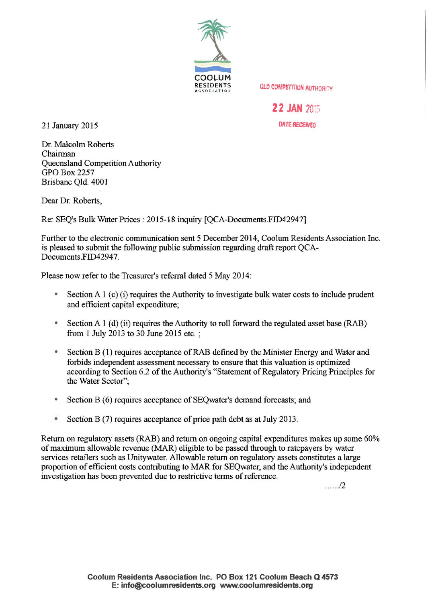

**QLD COMPETITION AUTHORITY** 

**22 JAN 2015** 

21 January 2015 DATE RECEMED

Dr. Malcolm Roberts Chairman Queensland Competition Authority **GPO Box 2257** Brisbane Qld. 4001

Dear Dr. Roberts,

Re: SEQ's Bulk Water Prices: 2015-18 inquiry (QCA-Documents.FID42947]

Further to the electronic communication sent 5 December 2014, Coolum Residents Association Inc. is pleased to submit the following public submission regarding draft report QCA-Documents.FID42947.

Please now refer to the Treasurer's referral dated 5 May 2014:

- Section A  $1$  (c) (i) requires the Authority to investigate bulk water costs to include prudent and efficient capital expenditure;
- Section A 1 (d) (ii) requires the Authority to roll forward the regulated asset base (RAB) from 1 July 2013 to 30 June 2015 etc. ;
- Section B (1) requires acceptance of RAB defined by the Minister Energy and Water and forbids independent assessment necessary to ensure that this valuation is optimized according to Section 6.2 of the Authority's "Statement of Regulatory Pricing Principles for the Water Sector";
- Section B (6) requires acceptance of SEQwater's demand forecasts; and
- Section B (7) requires acceptance of price path debt as at July 2013.

Return on regulatory assets (RAB) and return on ongoing capital expenditures makes up some 60% of maximum allowable revenue (MAR) eligible to be passed through to ratepayers by water services retailers such as Unitywater. Allowable return on regulatory assets constitutes a large proportion of efficient costs contributing to MAR for SEQwater, and the Authority's independent investigation has been prevented due to restrictive terms of reference.

. .. .. ./2